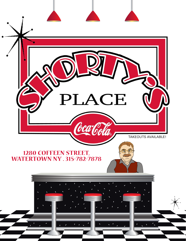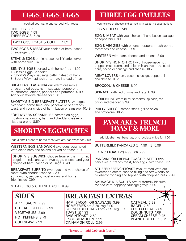## **EGGS, EGGS, EGGS**

cooked your style and served with toast

ONE EGG 3.59 TWO EGGS 4.59 THREE EGGS 5.29

#### TWO EGGS, TOAST & COFFEE 4.89

TWO EGGS & MEAT your choice of ham, bacon or sausage 6.99

**STEAK & EGGS** our in-house cut NY strip served with home fries 14.89

BENNY'S EGGS served with home fries 11.99 1. Classic Eggs Benedict

- 2. Shorty's Way sausage patty instead of ham
- 3. Boot's Way spinach or tomato instead of ham

BREAKFAST LASAGNA our warm casserole of scrambled eggs, ham, sausage, pepperoni, mushrooms, onions, peppers and potatoes 9.99 Add your favorite cheese for 1.50

SHORTY'S BIG BREAKFAST PLATTER two eggs, two toast, home fries, one pancake or one french toast, and your choice of ham, bacon or sausage 10.49

FORT MYERS SCRAMBLER scrambled eggs, mushrooms, onions, ham and cheddar cheese on ciabatta bread 8.59

## **SHORTY'S EGGWICHES**

add a small order of home fries with any sandwich for 2.99

WESTERN EGG SANDWICH two eggs scrambled with diced ham and onions served on toast 6.29

 SHORTY'S EGGWICH choose from english muffin, bagel, or croissant, with two eggs, cheese and your choice of ham, bacon or sausage 6.49

BREAKFAST BURRITO two eggs and your choice of meat, with cheddar cheese 7.29 add onions, peppers, mushrooms and home fries inside 7.99

STEAK, EGG & CHEESE BAGEL 8.99

### **SIDES**

APPLESAUCE 2.99 COTTAGE CHEESE 2.99 VEGETABLES 2.99 HOT PEPPERS 3.79 COLESLAW 2.99

## **THREE EGG OMELETS**

your choice of cheese and served with toast | no substitutions

#### EGG & CHEESE 7.49

**EGG & MEAT** with your choice of ham, bacon sausage or pepperoni 8.99

**EGG & VEGGIES** with onions, peppers, mushrooms, tomatoes and cheese 8.99

WESTERN with ham, cheese and onions 8.99

SHORTY'S HOT-TO-TROT with house-made hot pepper, mushroom, and onion mix and your choice of ham, bacon or sausage and cheese 10.29

MEAT LOVERS ham, bacon, sausage, pepperoni and cheese 10.29

BROCCOLI & CHEESE 8.99

SPINACH with red onions and feta 8.99

FLORENTINE cremini mushrooms, spinach, red onion and cheddar 9.99

PHILLY CHEESE shaved steak, grilled onion and provolone 10.29

#### **PANCAKES, FRENCH TOAST & MORE**

add blueberries, bananas, or chocolate chips for 1.00

BUTTERMILK PANCAKES (2) 4.99 (3) 5.99

FRENCH TOAST (2) 4.99 (3) 5.99

PANCAKE OR FRENCH TOAST PLATTER two pancakes or french toast, two eggs, two toast 8.99

STUFFED FRENCH TOAST two, stuffed with our sweetened cream cheese filling and strawberry or blueberry topping and topped with chopped nuts 7.99

SAUSAGE & BISCUITS two buttermilk biscuits topped with peppery sausage gravy 5.99



HAM, BACON, OR SAUSAGE 3.99 HOME FRIES sm 3.29 reg 3.99 CORNED BEEF HASH sm 2.99 reg 3.99 TOAST (2) 1.99 RAISIN TOAST 2.69 ENGLISH MUFFIN 1.99 CINNAMON ROLL 2.99

OATMEAL 3.39 BAGEL 2.69 COLD CEREAL 2.89 DOUGHNUTS 1.69 CREAM CHEESE 0.75 PEANUT BUTTER 0.75

Takeouts – add 0.99 each (sorry!)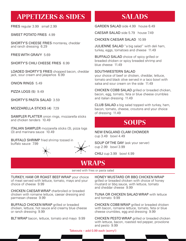## **APPETIZERS & SIDES**

FRIES regular 3.99 small 2.99

SWEET POTATO FRIES 4.99

SHORTY'S CHEESE FRIES monterey, cheddar and ranch dressing 6.29

FRIES WITH GRAVY 5.69

SHORTY'S CHILI CHEESE FRIES 6.99

LOADED SHORTY'S FRIES chopped bacon, cheddar jack, sour cream and jalapeños 6.99

ONION RINGS 5.49

PIZZA LOGS (5) 9.49

SHORTY'S PASTA SALAD 3.59

MOZZARELLA STICKS (4) 7.29

SAMPLER PLATTER onion rings, mozzarella sticks and chicken tenders 10.49

ITALIAN SAMPLER mozzarella sticks (3), pizza logs (3) and marinara sauce 10.49

BUFFALO SHRIMP fried shrimp tossed in buffalo sauce 7.99



### **SALADS**

GARDEN SALAD side 4.99 house 6.49

CAESAR SALAD side 5.79 house 7.49

CHICKEN CAESAR SALAD 10.99

JULIENNE SALAD "a big salad" with deli ham, turkey, eggs, tomatoes and cheese 11.49

BUFFALO SALAD choice of spicy grilled or breaded chicken or spicy breaded shrimp and blue cheese 1149

SOUTHWESTERN SALAD

your choice of beef or chicken, cheddar, lettuce, tomato and black olive served in a taco bowl with salsa and sour cream on the side 11.49

CHICKEN COBB SALAD grilled or breaded chicken, bacon, egg, tomato, feta or blue cheese crumbles and italian dressing 11.49

CLUB SALAD a big salad topped with turkey, ham, bacon, tomato, cheese, croutons and your choice of dressing 11.49

#### **SOUPS**

NEW ENGLAND CLAM CHOWDER cup 3.49 bowl 4.49

SOUP OF THE DAY (ask your server) cup 2.99 bowl 3.99

CHILI cup 3.99 bowl 4.99

#### **WRAPS**

served with fries or pasta salad

TURKEY, HAM OR ROAST BEEF WRAP your choice of meat served with lettuce, tomato, mayo and your choice of cheese 9.99

CHICKEN CAESAR WRAP charbroiled or breaded chicken with romaine lettuce, caesar dressing and parmesan cheese 9.99

BUFFALO CHICKEN WRAP grilled or breaded chicken, lettuce, hot sauce and creamy blue cheese or ranch dressing 9.99

BLT WRAP bacon, lettuce, tomato and mayo 9.99

HONEY MUSTARD OR BBQ CHICKEN WRAP grilled or breaded chicken with choice of honey mustard or bbq sauce, with lettuce, tomato and cheddar cheese 9.99

TUNA OR CHICKEN SALAD WRAP with lettuce and tomato 9.99

CHICKEN COBB WRAP grilled or breaded chicken with bacon, romaine lettuce, tomato, feta or blue cheese crumbles, egg and dressing 9.99

CHICKEN PESTO WRAP grilled or breaded chicken with lettuce, bacon, roasted red pepper, provolone and pesto 9.99

Takeouts – add 0.99 each (sorry!)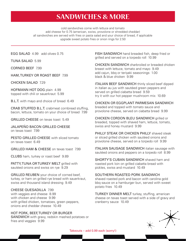### **SANDWICHES & MORE**

cold sandwiches come with lettuce and tomato add cheese for 0.75 (american, swiss, provolone or shredded cheddar) all sandwiches are served with fries or pasta salad and your choice of bread, if applicable upgrade sweet potato fries or onion rings for 2.50

EGG SALAD 4.99 add olives 0.75

TUNA SALAD 5.99

CORNED BEEF 7.99

HAM, TURKEY OR ROAST BEEF 7.99

CHICKEN SALAD 7.29

HOFMANN HOT DOG plain 4.99 topped with chili or sauerkraut 5.99

B.L.T. with mayo and choice of bread 6.49

CRAB STUFFED B.L.T. crabmeat cornbread stuffing, bacon, lettuce, tomato on your choice of bread 7.99

GRILLED CHEESE on texas toast 5.49

JALAPEÑO BACON GRILLED CHEESE on texas toast 7.99

PESTO GRILLED CHEESE with sliced tomato on texas toast 6.49

GRILLED HAM & CHEESE on texas toast 7.99

CLUBS ham, turkey or roast beef 9.89

PATTY, TUNA OR TURKEY MELT grilled with sautéed onions and swiss on rye 9.29

GRILLED REUBEN your choice of corned beef, turkey, or ham on grilled rye bread with sauerkraut, swiss and thousand island dressing 9.49

#### CHEESE QUESADILLA 7.99

with veggies and cheese 8.99 with chicken and cheese 9.99 with grilled chicken, tomatoes, green peppers, onions and cheddar cheese 10.49

#### HOT PORK, BEEF, TURKEY OR BURGER SANDWICH with gravy, redskin mashed potatoes or fries and veggies 9.99

FISH SANDWICH hand breaded fish, deep fried or grilled and served on a torpedo roll 10.99

CHICKEN SANDWICH charbroiled or breaded chicken breast with lettuce, tomato and mayo 9.49 add cajun, bbq or teriyaki seasonings 1.00 black & blue chicken 9.99

ITALIAN BEEF SANDWICH thinly sliced beef dipped in italian au jus with sautéed green peppers and served on grilled ciabatta bread 9.59 try it with our hot pepper mushroom mix 10.69

CHICKEN OR EGGPLANT PARMESAN SANDWICH breaded and topped with tomato sauce and provolone cheese, served on ciabatta bread 9.99

CHICKEN CORDON BLEU SANDWICH grilled or breaded, topped with shaved ham, lettuce, tomato, swiss and honey mustard 9.99

PHILLY STEAK OR CHICKEN PHILLY shaved steak or sliced grilled chicken with sautéed onions and provolone cheese, served on a torpedo roll 9.99

ITALIAN SAUSAGE SANDWICH italian sausage with sautéed onions and peppers on a torpedo roll 8.99

SHORTY'S CUBAN SANDWICH shaved ham and roasted pork loin on grilled ciabatta bread with pickles, swiss and mustard 10.49

#### SOUTHERN ROASTED PORK SANDWICH

shaved roasted pork and bacon with carolina gold bbq sauce on a hamburger bun, served with sweet potato fries 10.49

TURKEY DINNER MELT turkey, stuffing, american cheese on texas toast served with a side of gravy and cranberry sauce 10.49



Takeouts – add 0.99 each (sorry!)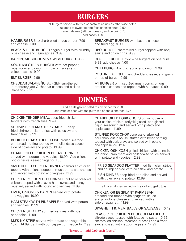### **BURGERS**

all burgers served with fries or pasta salad unless otherwise noted.

upgrade to sweet potato fries or onion rings 2.50

make it deluxe (lettuce, tomato, and onion) 0.75

add bacon 1.99

HAMBURGER 6 oz charbroiled angus burger 7.99 add cheese 1.00

BLACK & BLUE BURGER angus burger with crumbly blue cheese and cajun spices 9.99

BACON, MUSHROOM & SWISS BURGER 9.99

SOUTHWESTERN BURGER with hot pepper, mushroom and onion mix, bacon, swiss and chipotle sauce 9.99

BLT BURGER 9.99

CHEDDAR JALAPEÑO BURGER smothered in monterey jack & cheddar cheese and pickled jalapeños 9.99

BREAKFAST BURGER with bacon, cheese and fried egg 9.99

BBQ BURGER charbroiled burger topped with bbq sauce and onion rings 9.99

DOUBLE TROUBLE two 4 oz burgers on one bun! 9.99 add cheese 1.00

CHILI BURGER with cheddar and onion 9.99

POUTINE BURGER fries, cheddar cheese, and gravy on top of burger 9.99

A1 BURGER with sautéed mushrooms, onions, american cheese and topped with A1 sauce 9.99

#### **DINNERS**

add a side garden salad to any dinner for 2.50 add wine or beer with the purchase of one dinner for 2.25

CHICKEN TENDER MEAL deep fried chicken tenders with french fries 9.49

SHRIMP OR CLAM STRIPS BASKET deep fried shrimp or clam strips with coleslaw and french fries 9.99

BROILED CRAB STUFFED FISH broiled seafood cornbread stuffing topped with hollandaise sauce, side of coleslaw and potato 13.99

CHARBROILED CHICKEN BREAST DINNER served with potato and veggies 10.99 Add cajun, bbq or teriyaki seasonings for 1.00

SMOTHERED CHICKEN DINNER charbroiled chicken topped with onions, peppers, mushrooms and cheese and served with potato and veggies 11.99

CHICKEN CORDON BLEU DINNER grilled or breaded chicken topped with shaved ham, swiss and honey mustard, served with potato and veggies 11.99

LIVER, ONIONS & BACON served with potato and veggies 10.99

HAM STEAK WITH PINEAPPLE served with potato and veggies 11.99

CHICKEN STIR FRY stir fried veggies with rice or noodles 11.99

MJ'S NY STRIP served with potato and vegetable 10 oz 14.99 try it with our peppercorn sauce for 2.99 CHARBROILED PORK CHOPS cut in house with your choice of plain, teriyaki glazed, bbq glazed, cajun seasoning and served with potato and applesauce 11.99

STUFFED PORK CHOP boneless charbroiled pork chop, cut in house, stuffed with bread stuffing, topped with pork gravy and served with potato and applesauce 12.49

CHICKEN OSH KOSH grilled chicken with spinach, red onion, crab meat and hollandaise sauce served with potato and veggies 12.99

FRIED SEAFOOD PLATTER fried fish, clam strips, and shrimp served with coleslaw and potato 13.59

 FISH DINNER deep fried or broiled and served with coleslaw and potato 12.99

all italian dishes served with salad and garlic toast

CHICKEN OR EGGPLANT PARMESAN breaded and topped with spaghetti sauce and provolone cheese and served with a side of spaghetti 11.99

SPAGHETTI & MEATBALLS OR SAUSAGE 10.49

CLASSIC OR CHICKEN BROCCOLI ALFREDO alfredo sauce tossed with fettuccine pasta 10.99 charbroiled chicken, steamed broccoli and alfredo sauce tossed with fettuccine pasta 12.99